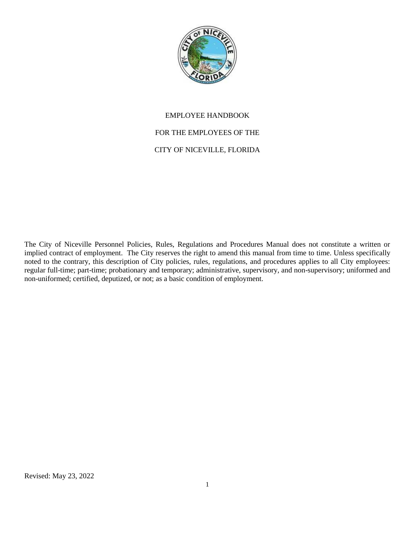

## EMPLOYEE HANDBOOK

## FOR THE EMPLOYEES OF THE

## CITY OF NICEVILLE, FLORIDA

The City of Niceville Personnel Policies, Rules, Regulations and Procedures Manual does not constitute a written or implied contract of employment. The City reserves the right to amend this manual from time to time. Unless specifically noted to the contrary, this description of City policies, rules, regulations, and procedures applies to all City employees: regular full-time; part-time; probationary and temporary; administrative, supervisory, and non-supervisory; uniformed and non-uniformed; certified, deputized, or not; as a basic condition of employment.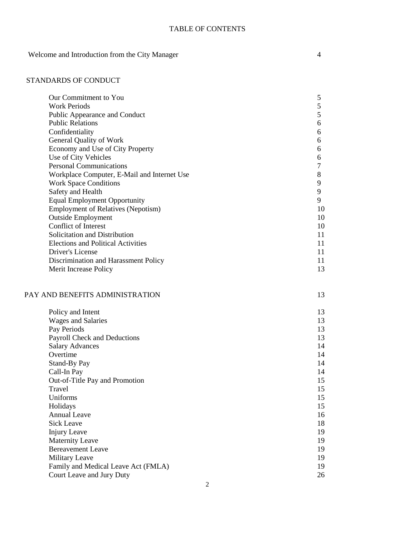### TABLE OF CONTENTS

Welcome and Introduction from the City Manager 4

| Our Commitment to You                       | 5      |
|---------------------------------------------|--------|
| <b>Work Periods</b>                         | 5      |
| Public Appearance and Conduct               | 5      |
| <b>Public Relations</b>                     | 6      |
| Confidentiality                             | 6      |
| General Quality of Work                     | 6      |
| Economy and Use of City Property            | 6      |
| Use of City Vehicles                        | 6      |
| <b>Personal Communications</b>              | $\tau$ |
| Workplace Computer, E-Mail and Internet Use | 8      |
| <b>Work Space Conditions</b>                | 9      |
| Safety and Health                           | 9      |
| <b>Equal Employment Opportunity</b>         | 9      |
| <b>Employment of Relatives (Nepotism)</b>   | 10     |
| <b>Outside Employment</b>                   | 10     |
| Conflict of Interest                        | 10     |
| Solicitation and Distribution               | 11     |
| <b>Elections and Political Activities</b>   | 11     |
| Driver's License                            | 11     |
| Discrimination and Harassment Policy        | 11     |
| Merit Increase Policy                       | 13     |
| PAY AND BENEFITS ADMINISTRATION             | 13     |
|                                             |        |
| Policy and Intent                           | 13     |
| <b>Wages and Salaries</b>                   | 13     |
| Pay Periods                                 | 13     |
| Payroll Check and Deductions                | 13     |
| <b>Salary Advances</b>                      | 14     |
| Overtime                                    | 14     |
| Stand-By Pay                                | 14     |
| Call-In Pay                                 | 14     |
| Out-of-Title Pay and Promotion              | 15     |
| Travel                                      | 15     |
| Uniforms                                    | 15     |
| Holidays                                    | 15     |
| <b>Annual Leave</b>                         | 16     |
| <b>Sick Leave</b>                           | 18     |
| <b>Injury Leave</b>                         | 19     |
| <b>Maternity Leave</b>                      | 19     |
| <b>Bereavement Leave</b>                    | 19     |
| Military Leave                              | 19     |
| Family and Medical Leave Act (FMLA)         | 19     |

| Family and Medical Leave Act (FMLA) |  |
|-------------------------------------|--|
| Court Leave and Jury Duty           |  |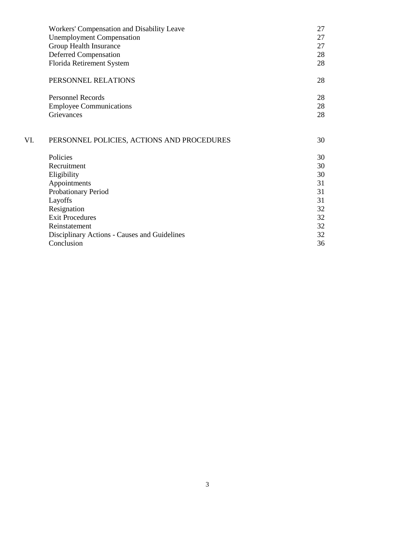|     | Workers' Compensation and Disability Leave   | 27 |
|-----|----------------------------------------------|----|
|     | <b>Unemployment Compensation</b>             | 27 |
|     | Group Health Insurance                       | 27 |
|     | <b>Deferred Compensation</b>                 | 28 |
|     | Florida Retirement System                    | 28 |
|     | PERSONNEL RELATIONS                          | 28 |
|     | <b>Personnel Records</b>                     | 28 |
|     | <b>Employee Communications</b>               | 28 |
|     | <b>Grievances</b>                            | 28 |
| VI. | PERSONNEL POLICIES, ACTIONS AND PROCEDURES   | 30 |
|     | Policies                                     | 30 |
|     | Recruitment                                  | 30 |
|     | Eligibility                                  | 30 |
|     | Appointments                                 | 31 |
|     | Probationary Period                          | 31 |
|     | Layoffs                                      | 31 |
|     | Resignation                                  | 32 |
|     | <b>Exit Procedures</b>                       | 32 |
|     | Reinstatement                                | 32 |
|     | Disciplinary Actions - Causes and Guidelines | 32 |
|     | Conclusion                                   | 36 |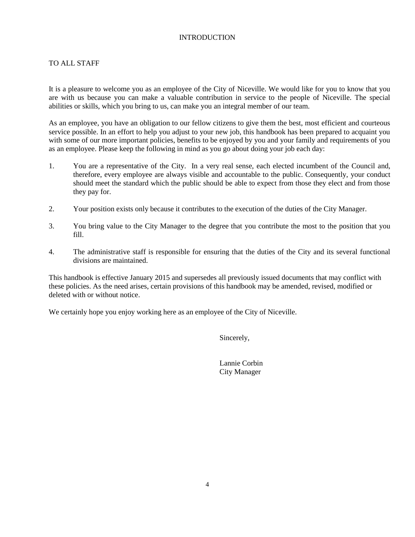### INTRODUCTION

## TO ALL STAFF

It is a pleasure to welcome you as an employee of the City of Niceville. We would like for you to know that you are with us because you can make a valuable contribution in service to the people of Niceville. The special abilities or skills, which you bring to us, can make you an integral member of our team.

As an employee, you have an obligation to our fellow citizens to give them the best, most efficient and courteous service possible. In an effort to help you adjust to your new job, this handbook has been prepared to acquaint you with some of our more important policies, benefits to be enjoyed by you and your family and requirements of you as an employee. Please keep the following in mind as you go about doing your job each day:

- 1. You are a representative of the City. In a very real sense, each elected incumbent of the Council and, therefore, every employee are always visible and accountable to the public. Consequently, your conduct should meet the standard which the public should be able to expect from those they elect and from those they pay for.
- 2. Your position exists only because it contributes to the execution of the duties of the City Manager.
- 3. You bring value to the City Manager to the degree that you contribute the most to the position that you fill.
- 4. The administrative staff is responsible for ensuring that the duties of the City and its several functional divisions are maintained.

This handbook is effective January 2015 and supersedes all previously issued documents that may conflict with these policies. As the need arises, certain provisions of this handbook may be amended, revised, modified or deleted with or without notice.

We certainly hope you enjoy working here as an employee of the City of Niceville.

Sincerely,

Lannie Corbin City Manager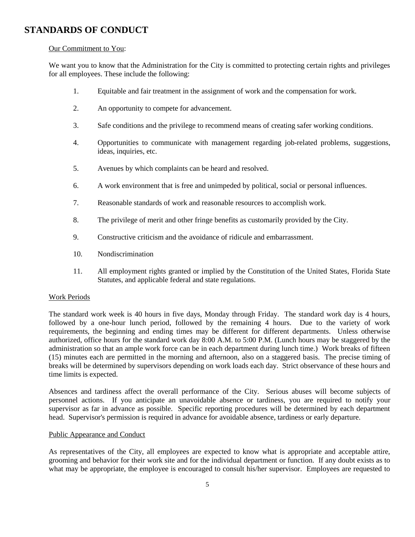# **STANDARDS OF CONDUCT**

### Our Commitment to You:

We want you to know that the Administration for the City is committed to protecting certain rights and privileges for all employees. These include the following:

- 1. Equitable and fair treatment in the assignment of work and the compensation for work.
- 2. An opportunity to compete for advancement.
- 3. Safe conditions and the privilege to recommend means of creating safer working conditions.
- 4. Opportunities to communicate with management regarding job-related problems, suggestions, ideas, inquiries, etc.
- 5. Avenues by which complaints can be heard and resolved.
- 6. A work environment that is free and unimpeded by political, social or personal influences.
- 7. Reasonable standards of work and reasonable resources to accomplish work.
- 8. The privilege of merit and other fringe benefits as customarily provided by the City.
- 9. Constructive criticism and the avoidance of ridicule and embarrassment.
- 10. Nondiscrimination
- 11. All employment rights granted or implied by the Constitution of the United States, Florida State Statutes, and applicable federal and state regulations.

### Work Periods

The standard work week is 40 hours in five days, Monday through Friday. The standard work day is 4 hours, followed by a one-hour lunch period, followed by the remaining 4 hours. Due to the variety of work requirements, the beginning and ending times may be different for different departments. Unless otherwise authorized, office hours for the standard work day 8:00 A.M. to 5:00 P.M. (Lunch hours may be staggered by the administration so that an ample work force can be in each department during lunch time.) Work breaks of fifteen (15) minutes each are permitted in the morning and afternoon, also on a staggered basis. The precise timing of breaks will be determined by supervisors depending on work loads each day. Strict observance of these hours and time limits is expected.

Absences and tardiness affect the overall performance of the City. Serious abuses will become subjects of personnel actions. If you anticipate an unavoidable absence or tardiness, you are required to notify your supervisor as far in advance as possible. Specific reporting procedures will be determined by each department head. Supervisor's permission is required in advance for avoidable absence, tardiness or early departure.

### Public Appearance and Conduct

As representatives of the City, all employees are expected to know what is appropriate and acceptable attire, grooming and behavior for their work site and for the individual department or function. If any doubt exists as to what may be appropriate, the employee is encouraged to consult his/her supervisor. Employees are requested to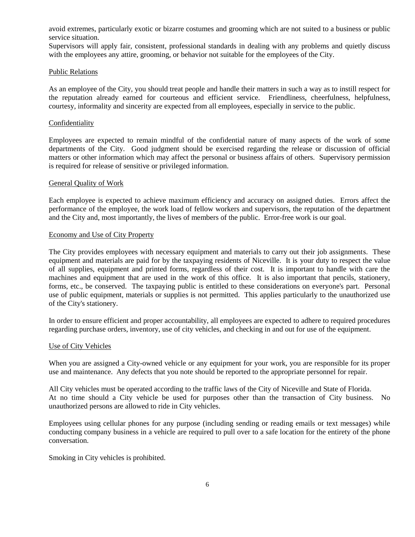avoid extremes, particularly exotic or bizarre costumes and grooming which are not suited to a business or public service situation.

Supervisors will apply fair, consistent, professional standards in dealing with any problems and quietly discuss with the employees any attire, grooming, or behavior not suitable for the employees of the City.

### Public Relations

As an employee of the City, you should treat people and handle their matters in such a way as to instill respect for the reputation already earned for courteous and efficient service. Friendliness, cheerfulness, helpfulness, courtesy, informality and sincerity are expected from all employees, especially in service to the public.

#### Confidentiality

Employees are expected to remain mindful of the confidential nature of many aspects of the work of some departments of the City. Good judgment should be exercised regarding the release or discussion of official matters or other information which may affect the personal or business affairs of others. Supervisory permission is required for release of sensitive or privileged information.

### General Quality of Work

Each employee is expected to achieve maximum efficiency and accuracy on assigned duties. Errors affect the performance of the employee, the work load of fellow workers and supervisors, the reputation of the department and the City and, most importantly, the lives of members of the public. Error-free work is our goal.

### Economy and Use of City Property

The City provides employees with necessary equipment and materials to carry out their job assignments. These equipment and materials are paid for by the taxpaying residents of Niceville. It is your duty to respect the value of all supplies, equipment and printed forms, regardless of their cost. It is important to handle with care the machines and equipment that are used in the work of this office. It is also important that pencils, stationery, forms, etc., be conserved. The taxpaying public is entitled to these considerations on everyone's part. Personal use of public equipment, materials or supplies is not permitted. This applies particularly to the unauthorized use of the City's stationery.

In order to ensure efficient and proper accountability, all employees are expected to adhere to required procedures regarding purchase orders, inventory, use of city vehicles, and checking in and out for use of the equipment.

### Use of City Vehicles

When you are assigned a City-owned vehicle or any equipment for your work, you are responsible for its proper use and maintenance. Any defects that you note should be reported to the appropriate personnel for repair.

All City vehicles must be operated according to the traffic laws of the City of Niceville and State of Florida. At no time should a City vehicle be used for purposes other than the transaction of City business. No unauthorized persons are allowed to ride in City vehicles.

Employees using cellular phones for any purpose (including sending or reading emails or text messages) while conducting company business in a vehicle are required to pull over to a safe location for the entirety of the phone conversation.

Smoking in City vehicles is prohibited.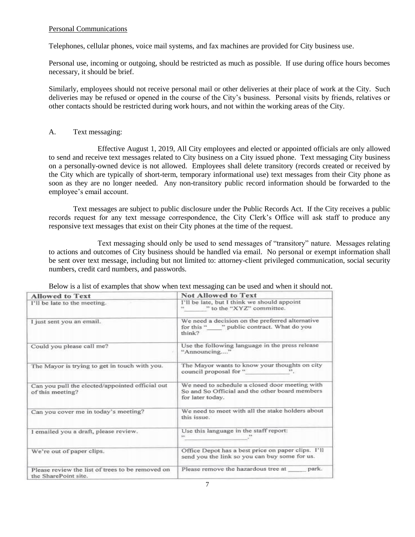### Personal Communications

Telephones, cellular phones, voice mail systems, and fax machines are provided for City business use.

Personal use, incoming or outgoing, should be restricted as much as possible. If use during office hours becomes necessary, it should be brief.

Similarly, employees should not receive personal mail or other deliveries at their place of work at the City. Such deliveries may be refused or opened in the course of the City's business. Personal visits by friends, relatives or other contacts should be restricted during work hours, and not within the working areas of the City.

### A. Text messaging:

Effective August 1, 2019, All City employees and elected or appointed officials are only allowed to send and receive text messages related to City business on a City issued phone. Text messaging City business on a personally-owned device is not allowed. Employees shall delete transitory (records created or received by the City which are typically of short-term, temporary informational use) text messages from their City phone as soon as they are no longer needed. Any non-transitory public record information should be forwarded to the employee's email account.

Text messages are subject to public disclosure under the Public Records Act. If the City receives a public records request for any text message correspondence, the City Clerk's Office will ask staff to produce any responsive text messages that exist on their City phones at the time of the request.

Text messaging should only be used to send messages of "transitory" nature. Messages relating to actions and outcomes of City business should be handled via email. No personal or exempt information shall be sent over text message, including but not limited to: attorney-client privileged communication, social security numbers, credit card numbers, and passwords.

| <b>Allowed to Text</b>                                                   | <b>Not Allowed to Text</b>                                                                                           |  |
|--------------------------------------------------------------------------|----------------------------------------------------------------------------------------------------------------------|--|
| I'll be late to the meeting.                                             | I'll be late, but I think we should appoint<br>" to the "XYZ" committee.                                             |  |
| I just sent you an email.                                                | We need a decision on the preferred alternative<br>for this " " public contract. What do you<br>think?               |  |
| Could you please call me?                                                | Use the following language in the press release<br>"Announcing"                                                      |  |
| The Mayor is trying to get in touch with you.                            | The Mayor wants to know your thoughts on city<br>council proposal for "                                              |  |
| Can you pull the elected/appointed official out<br>of this meeting?      | We need to schedule a closed door meeting with<br>So and So Official and the other board members<br>for later today. |  |
| Can you cover me in today's meeting?                                     | We need to meet with all the stake holders about<br>this issue.                                                      |  |
| I emailed you a draft, please review.                                    | Use this language in the staff report:                                                                               |  |
| We're out of paper clips.                                                | Office Depot has a best price on paper clips. I'll<br>send you the link so you can buy some for us.                  |  |
| Please review the list of trees to be removed on<br>the SharePoint site. | Please remove the hazardous tree at<br>park.                                                                         |  |

Below is a list of examples that show when text messaging can be used and when it should not.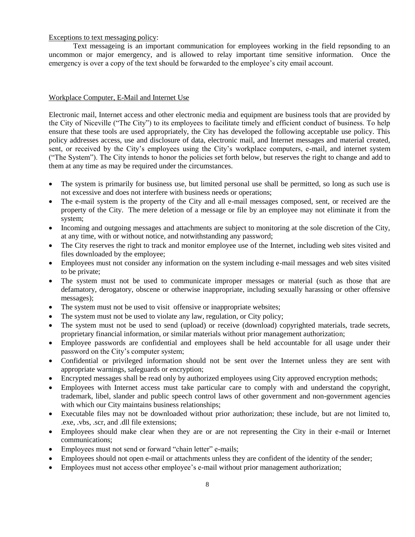### Exceptions to text messaging policy:

Text messageing is an important communication for employees working in the field repsonding to an uncommon or major emergency, and is allowed to relay important time sensitive information. Once the emergency is over a copy of the text should be forwarded to the employee's city email account.

### Workplace Computer, E-Mail and Internet Use

Electronic mail, Internet access and other electronic media and equipment are business tools that are provided by the City of Niceville ("The City") to its employees to facilitate timely and efficient conduct of business. To help ensure that these tools are used appropriately, the City has developed the following acceptable use policy. This policy addresses access, use and disclosure of data, electronic mail, and Internet messages and material created, sent, or received by the City's employees using the City's workplace computers, e-mail, and internet system ("The System"). The City intends to honor the policies set forth below, but reserves the right to change and add to them at any time as may be required under the circumstances.

- The system is primarily for business use, but limited personal use shall be permitted, so long as such use is not excessive and does not interfere with business needs or operations;
- The e-mail system is the property of the City and all e-mail messages composed, sent, or received are the property of the City. The mere deletion of a message or file by an employee may not eliminate it from the system;
- Incoming and outgoing messages and attachments are subject to monitoring at the sole discretion of the City, at any time, with or without notice, and notwithstanding any password;
- The City reserves the right to track and monitor employee use of the Internet, including web sites visited and files downloaded by the employee;
- Employees must not consider any information on the system including e-mail messages and web sites visited to be private;
- The system must not be used to communicate improper messages or material (such as those that are defamatory, derogatory, obscene or otherwise inappropriate, including sexually harassing or other offensive messages);
- The system must not be used to visit offensive or inappropriate websites;
- The system must not be used to violate any law, regulation, or City policy;
- The system must not be used to send (upload) or receive (download) copyrighted materials, trade secrets, proprietary financial information, or similar materials without prior management authorization;
- Employee passwords are confidential and employees shall be held accountable for all usage under their password on the City's computer system;
- Confidential or privileged information should not be sent over the Internet unless they are sent with appropriate warnings, safeguards or encryption;
- Encrypted messages shall be read only by authorized employees using City approved encryption methods;
- Employees with Internet access must take particular care to comply with and understand the copyright, trademark, libel, slander and public speech control laws of other government and non-government agencies with which our City maintains business relationships;
- Executable files may not be downloaded without prior authorization; these include, but are not limited to, .exe, .vbs, .scr, and .dll file extensions;
- Employees should make clear when they are or are not representing the City in their e-mail or Internet communications;
- Employees must not send or forward "chain letter" e-mails;
- Employees should not open e-mail or attachments unless they are confident of the identity of the sender;
- Employees must not access other employee's e-mail without prior management authorization;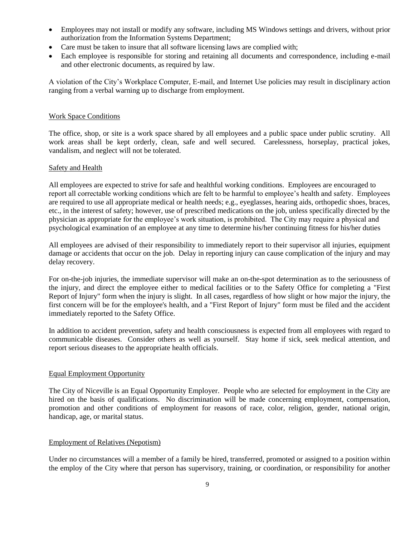- Employees may not install or modify any software, including MS Windows settings and drivers, without prior authorization from the Information Systems Department;
- Care must be taken to insure that all software licensing laws are complied with;
- Each employee is responsible for storing and retaining all documents and correspondence, including e-mail and other electronic documents, as required by law.

A violation of the City's Workplace Computer, E-mail, and Internet Use policies may result in disciplinary action ranging from a verbal warning up to discharge from employment.

### Work Space Conditions

The office, shop, or site is a work space shared by all employees and a public space under public scrutiny. All work areas shall be kept orderly, clean, safe and well secured. Carelessness, horseplay, practical jokes, vandalism, and neglect will not be tolerated.

### Safety and Health

All employees are expected to strive for safe and healthful working conditions. Employees are encouraged to report all correctable working conditions which are felt to be harmful to employee's health and safety. Employees are required to use all appropriate medical or health needs; e.g., eyeglasses, hearing aids, orthopedic shoes, braces, etc., in the interest of safety; however, use of prescribed medications on the job, unless specifically directed by the physician as appropriate for the employee's work situation, is prohibited. The City may require a physical and psychological examination of an employee at any time to determine his/her continuing fitness for his/her duties

All employees are advised of their responsibility to immediately report to their supervisor all injuries, equipment damage or accidents that occur on the job. Delay in reporting injury can cause complication of the injury and may delay recovery.

For on-the-job injuries, the immediate supervisor will make an on-the-spot determination as to the seriousness of the injury, and direct the employee either to medical facilities or to the Safety Office for completing a "First Report of Injury" form when the injury is slight. In all cases, regardless of how slight or how major the injury, the first concern will be for the employee's health, and a "First Report of Injury" form must be filed and the accident immediately reported to the Safety Office.

In addition to accident prevention, safety and health consciousness is expected from all employees with regard to communicable diseases. Consider others as well as yourself. Stay home if sick, seek medical attention, and report serious diseases to the appropriate health officials.

### Equal Employment Opportunity

The City of Niceville is an Equal Opportunity Employer. People who are selected for employment in the City are hired on the basis of qualifications. No discrimination will be made concerning employment, compensation, promotion and other conditions of employment for reasons of race, color, religion, gender, national origin, handicap, age, or marital status.

### Employment of Relatives (Nepotism)

Under no circumstances will a member of a family be hired, transferred, promoted or assigned to a position within the employ of the City where that person has supervisory, training, or coordination, or responsibility for another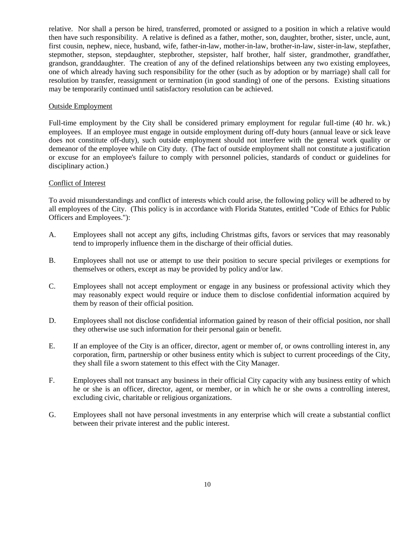relative. Nor shall a person be hired, transferred, promoted or assigned to a position in which a relative would then have such responsibility. A relative is defined as a father, mother, son, daughter, brother, sister, uncle, aunt, first cousin, nephew, niece, husband, wife, father-in-law, mother-in-law, brother-in-law, sister-in-law, stepfather, stepmother, stepson, stepdaughter, stepbrother, stepsister, half brother, half sister, grandmother, grandfather, grandson, granddaughter. The creation of any of the defined relationships between any two existing employees, one of which already having such responsibility for the other (such as by adoption or by marriage) shall call for resolution by transfer, reassignment or termination (in good standing) of one of the persons. Existing situations may be temporarily continued until satisfactory resolution can be achieved.

### Outside Employment

Full-time employment by the City shall be considered primary employment for regular full-time (40 hr. wk.) employees. If an employee must engage in outside employment during off-duty hours (annual leave or sick leave does not constitute off-duty), such outside employment should not interfere with the general work quality or demeanor of the employee while on City duty. (The fact of outside employment shall not constitute a justification or excuse for an employee's failure to comply with personnel policies, standards of conduct or guidelines for disciplinary action.)

### Conflict of Interest

To avoid misunderstandings and conflict of interests which could arise, the following policy will be adhered to by all employees of the City. (This policy is in accordance with Florida Statutes, entitled "Code of Ethics for Public Officers and Employees."):

- A. Employees shall not accept any gifts, including Christmas gifts, favors or services that may reasonably tend to improperly influence them in the discharge of their official duties.
- B. Employees shall not use or attempt to use their position to secure special privileges or exemptions for themselves or others, except as may be provided by policy and/or law.
- C. Employees shall not accept employment or engage in any business or professional activity which they may reasonably expect would require or induce them to disclose confidential information acquired by them by reason of their official position.
- D. Employees shall not disclose confidential information gained by reason of their official position, nor shall they otherwise use such information for their personal gain or benefit.
- E. If an employee of the City is an officer, director, agent or member of, or owns controlling interest in, any corporation, firm, partnership or other business entity which is subject to current proceedings of the City, they shall file a sworn statement to this effect with the City Manager.
- F. Employees shall not transact any business in their official City capacity with any business entity of which he or she is an officer, director, agent, or member, or in which he or she owns a controlling interest, excluding civic, charitable or religious organizations.
- G. Employees shall not have personal investments in any enterprise which will create a substantial conflict between their private interest and the public interest.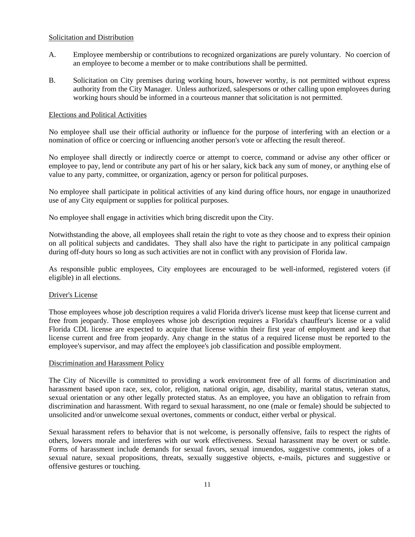### Solicitation and Distribution

- A. Employee membership or contributions to recognized organizations are purely voluntary. No coercion of an employee to become a member or to make contributions shall be permitted.
- B. Solicitation on City premises during working hours, however worthy, is not permitted without express authority from the City Manager. Unless authorized, salespersons or other calling upon employees during working hours should be informed in a courteous manner that solicitation is not permitted.

### Elections and Political Activities

No employee shall use their official authority or influence for the purpose of interfering with an election or a nomination of office or coercing or influencing another person's vote or affecting the result thereof.

No employee shall directly or indirectly coerce or attempt to coerce, command or advise any other officer or employee to pay, lend or contribute any part of his or her salary, kick back any sum of money, or anything else of value to any party, committee, or organization, agency or person for political purposes.

No employee shall participate in political activities of any kind during office hours, nor engage in unauthorized use of any City equipment or supplies for political purposes.

No employee shall engage in activities which bring discredit upon the City.

Notwithstanding the above, all employees shall retain the right to vote as they choose and to express their opinion on all political subjects and candidates. They shall also have the right to participate in any political campaign during off-duty hours so long as such activities are not in conflict with any provision of Florida law.

As responsible public employees, City employees are encouraged to be well-informed, registered voters (if eligible) in all elections.

#### Driver's License

Those employees whose job description requires a valid Florida driver's license must keep that license current and free from jeopardy. Those employees whose job description requires a Florida's chauffeur's license or a valid Florida CDL license are expected to acquire that license within their first year of employment and keep that license current and free from jeopardy. Any change in the status of a required license must be reported to the employee's supervisor, and may affect the employee's job classification and possible employment.

#### Discrimination and Harassment Policy

The City of Niceville is committed to providing a work environment free of all forms of discrimination and harassment based upon race, sex, color, religion, national origin, age, disability, marital status, veteran status, sexual orientation or any other legally protected status. As an employee, you have an obligation to refrain from discrimination and harassment. With regard to sexual harassment, no one (male or female) should be subjected to unsolicited and/or unwelcome sexual overtones, comments or conduct, either verbal or physical.

Sexual harassment refers to behavior that is not welcome, is personally offensive, fails to respect the rights of others, lowers morale and interferes with our work effectiveness. Sexual harassment may be overt or subtle. Forms of harassment include demands for sexual favors, sexual innuendos, suggestive comments, jokes of a sexual nature, sexual propositions, threats, sexually suggestive objects, e-mails, pictures and suggestive or offensive gestures or touching.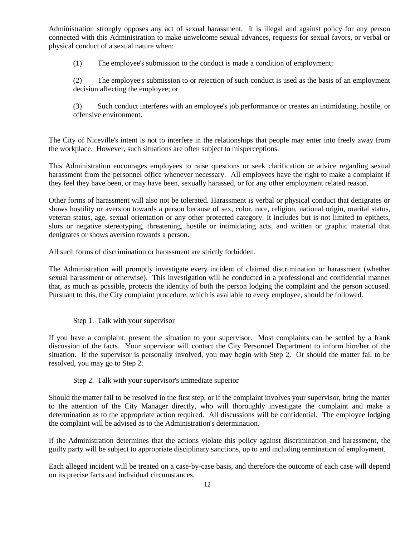Administration strongly opposes any act of sexual harassment. It is illegal and against policy for any person connected with this Administration to make unwelcome sexual advances, requests for sexual favors, or verbal or physical conduct of a sexual nature when:

(1) The employee's submission to the conduct is made a condition of employment;

(2) The employee's submission to or rejection of such conduct is used as the basis of an employment decision affecting the employee; or

(3) Such conduct interferes with an employee's job performance or creates an intimidating, hostile, or offensive environment.

The City of Niceville's intent is not to interfere in the relationships that people may enter into freely away from the workplace. However, such situations are often subject to misperceptions.

This Administration encourages employees to raise questions or seek clarification or advice regarding sexual harassment from the personnel office whenever necessary. All employees have the right to make a complaint if they feel they have been, or may have been, sexually harassed, or for any other employment related reason.

Other forms of harassment will also not be tolerated. Harassment is verbal or physical conduct that denigrates or shows hostility or aversion towards a person because of sex, color, race, religion, national origin, marital status, veteran status, age, sexual orientation or any other protected category. It includes but is not limited to epithets, slurs or negative stereotyping, threatening, hostile or intimidating acts, and written or graphic material that denigrates or shows aversion towards a person.

All such forms of discrimination or harassment are strictly forbidden.

The Administration will promptly investigate every incident of claimed discrimination or harassment (whether sexual harassment or otherwise). This investigation will be conducted in a professional and confidential manner that, as much as possible, protects the identity of both the person lodging the complaint and the person accused. Pursuant to this, the City complaint procedure, which is available to every employee, should be followed.

### Step 1. Talk with your supervisor

If you have a complaint, present the situation to your supervisor. Most complaints can be settled by a frank discussion of the facts. Your supervisor will contact the City Personnel Department to inform him/her of the situation. If the supervisor is personally involved, you may begin with Step 2. Or should the matter fail to be resolved, you may go to Step 2.

### Step 2. Talk with your supervisor's immediate superior

Should the matter fail to be resolved in the first step, or if the complaint involves your supervisor, bring the matter to the attention of the City Manager directly, who will thoroughly investigate the complaint and make a determination as to the appropriate action required. All discussions will be confidential. The employee lodging the complaint will be advised as to the Administration's determination.

If the Administration determines that the actions violate this policy against discrimination and harassment, the guilty party will be subject to appropriate disciplinary sanctions, up to and including termination of employment.

Each alleged incident will be treated on a case-by-case basis, and therefore the outcome of each case will depend on its precise facts and individual circumstances.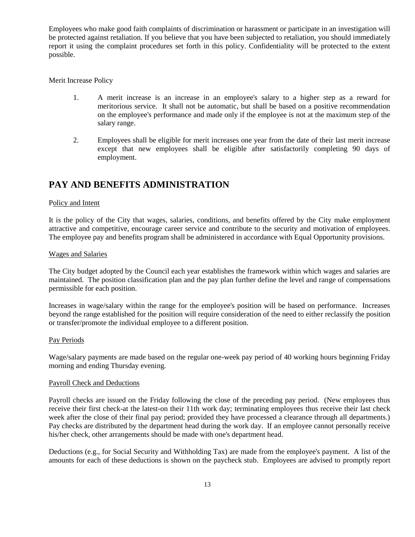Employees who make good faith complaints of discrimination or harassment or participate in an investigation will be protected against retaliation. If you believe that you have been subjected to retaliation, you should immediately report it using the complaint procedures set forth in this policy. Confidentiality will be protected to the extent possible.

Merit Increase Policy

- 1. A merit increase is an increase in an employee's salary to a higher step as a reward for meritorious service. It shall not be automatic, but shall be based on a positive recommendation on the employee's performance and made only if the employee is not at the maximum step of the salary range.
- 2. Employees shall be eligible for merit increases one year from the date of their last merit increase except that new employees shall be eligible after satisfactorily completing 90 days of employment.

## **PAY AND BENEFITS ADMINISTRATION**

### Policy and Intent

It is the policy of the City that wages, salaries, conditions, and benefits offered by the City make employment attractive and competitive, encourage career service and contribute to the security and motivation of employees. The employee pay and benefits program shall be administered in accordance with Equal Opportunity provisions.

### Wages and Salaries

The City budget adopted by the Council each year establishes the framework within which wages and salaries are maintained. The position classification plan and the pay plan further define the level and range of compensations permissible for each position.

Increases in wage/salary within the range for the employee's position will be based on performance. Increases beyond the range established for the position will require consideration of the need to either reclassify the position or transfer/promote the individual employee to a different position.

#### Pay Periods

Wage/salary payments are made based on the regular one-week pay period of 40 working hours beginning Friday morning and ending Thursday evening.

#### Payroll Check and Deductions

Payroll checks are issued on the Friday following the close of the preceding pay period. (New employees thus receive their first check-at the latest-on their 11th work day; terminating employees thus receive their last check week after the close of their final pay period; provided they have processed a clearance through all departments.) Pay checks are distributed by the department head during the work day. If an employee cannot personally receive his/her check, other arrangements should be made with one's department head.

Deductions (e.g., for Social Security and Withholding Tax) are made from the employee's payment. A list of the amounts for each of these deductions is shown on the paycheck stub. Employees are advised to promptly report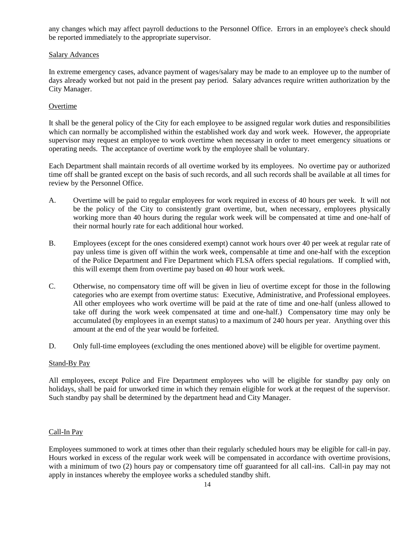any changes which may affect payroll deductions to the Personnel Office. Errors in an employee's check should be reported immediately to the appropriate supervisor.

### Salary Advances

In extreme emergency cases, advance payment of wages/salary may be made to an employee up to the number of days already worked but not paid in the present pay period. Salary advances require written authorization by the City Manager.

### **Overtime**

It shall be the general policy of the City for each employee to be assigned regular work duties and responsibilities which can normally be accomplished within the established work day and work week. However, the appropriate supervisor may request an employee to work overtime when necessary in order to meet emergency situations or operating needs. The acceptance of overtime work by the employee shall be voluntary.

Each Department shall maintain records of all overtime worked by its employees. No overtime pay or authorized time off shall be granted except on the basis of such records, and all such records shall be available at all times for review by the Personnel Office.

- A. Overtime will be paid to regular employees for work required in excess of 40 hours per week. It will not be the policy of the City to consistently grant overtime, but, when necessary, employees physically working more than 40 hours during the regular work week will be compensated at time and one-half of their normal hourly rate for each additional hour worked.
- B. Employees (except for the ones considered exempt) cannot work hours over 40 per week at regular rate of pay unless time is given off within the work week, compensable at time and one-half with the exception of the Police Department and Fire Department which FLSA offers special regulations. If complied with, this will exempt them from overtime pay based on 40 hour work week.
- C. Otherwise, no compensatory time off will be given in lieu of overtime except for those in the following categories who are exempt from overtime status: Executive, Administrative, and Professional employees. All other employees who work overtime will be paid at the rate of time and one-half (unless allowed to take off during the work week compensated at time and one-half.) Compensatory time may only be accumulated (by employees in an exempt status) to a maximum of 240 hours per year. Anything over this amount at the end of the year would be forfeited.
- D. Only full-time employees (excluding the ones mentioned above) will be eligible for overtime payment.

### Stand-By Pay

All employees, except Police and Fire Department employees who will be eligible for standby pay only on holidays, shall be paid for unworked time in which they remain eligible for work at the request of the supervisor. Such standby pay shall be determined by the department head and City Manager.

### Call-In Pay

Employees summoned to work at times other than their regularly scheduled hours may be eligible for call-in pay. Hours worked in excess of the regular work week will be compensated in accordance with overtime provisions, with a minimum of two (2) hours pay or compensatory time off guaranteed for all call-ins. Call-in pay may not apply in instances whereby the employee works a scheduled standby shift.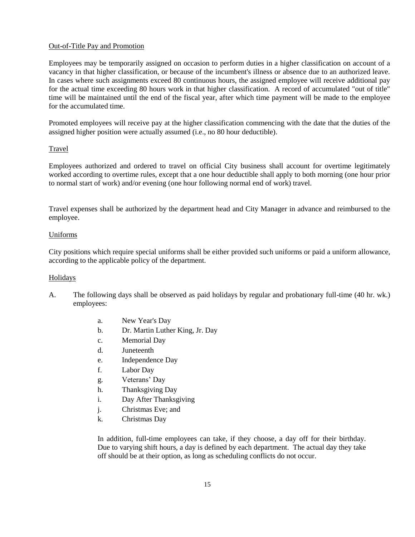### Out-of-Title Pay and Promotion

Employees may be temporarily assigned on occasion to perform duties in a higher classification on account of a vacancy in that higher classification, or because of the incumbent's illness or absence due to an authorized leave. In cases where such assignments exceed 80 continuous hours, the assigned employee will receive additional pay for the actual time exceeding 80 hours work in that higher classification. A record of accumulated "out of title" time will be maintained until the end of the fiscal year, after which time payment will be made to the employee for the accumulated time.

Promoted employees will receive pay at the higher classification commencing with the date that the duties of the assigned higher position were actually assumed (i.e., no 80 hour deductible).

### Travel

Employees authorized and ordered to travel on official City business shall account for overtime legitimately worked according to overtime rules, except that a one hour deductible shall apply to both morning (one hour prior to normal start of work) and/or evening (one hour following normal end of work) travel.

Travel expenses shall be authorized by the department head and City Manager in advance and reimbursed to the employee.

### Uniforms

City positions which require special uniforms shall be either provided such uniforms or paid a uniform allowance, according to the applicable policy of the department.

### Holidays

- A. The following days shall be observed as paid holidays by regular and probationary full-time (40 hr. wk.) employees:
	- a. New Year's Day
	- b. Dr. Martin Luther King, Jr. Day
	- c. Memorial Day
	- d. Juneteenth
	- e. Independence Day
	- f. Labor Day
	- g. Veterans' Day
	- h. Thanksgiving Day
	- i. Day After Thanksgiving
	- j. Christmas Eve; and
	- k. Christmas Day

In addition, full-time employees can take, if they choose, a day off for their birthday. Due to varying shift hours, a day is defined by each department. The actual day they take off should be at their option, as long as scheduling conflicts do not occur.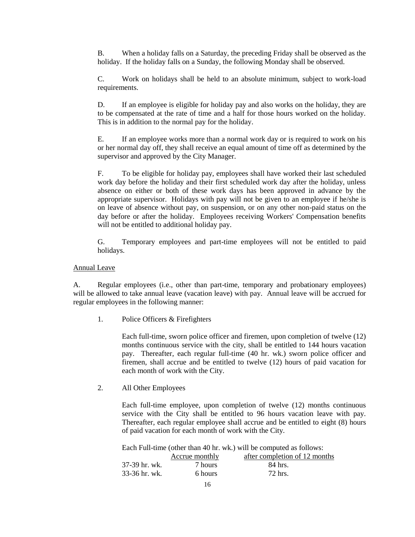B. When a holiday falls on a Saturday, the preceding Friday shall be observed as the holiday. If the holiday falls on a Sunday, the following Monday shall be observed.

C. Work on holidays shall be held to an absolute minimum, subject to work-load requirements.

D. If an employee is eligible for holiday pay and also works on the holiday, they are to be compensated at the rate of time and a half for those hours worked on the holiday. This is in addition to the normal pay for the holiday.

E. If an employee works more than a normal work day or is required to work on his or her normal day off, they shall receive an equal amount of time off as determined by the supervisor and approved by the City Manager.

F. To be eligible for holiday pay, employees shall have worked their last scheduled work day before the holiday and their first scheduled work day after the holiday, unless absence on either or both of these work days has been approved in advance by the appropriate supervisor. Holidays with pay will not be given to an employee if he/she is on leave of absence without pay, on suspension, or on any other non-paid status on the day before or after the holiday. Employees receiving Workers' Compensation benefits will not be entitled to additional holiday pay.

G. Temporary employees and part-time employees will not be entitled to paid holidays.

Annual Leave

A. Regular employees (i.e., other than part-time, temporary and probationary employees) will be allowed to take annual leave (vacation leave) with pay. Annual leave will be accrued for regular employees in the following manner:

1. Police Officers & Firefighters

Each full-time, sworn police officer and firemen, upon completion of twelve (12) months continuous service with the city, shall be entitled to 144 hours vacation pay. Thereafter, each regular full-time (40 hr. wk.) sworn police officer and firemen, shall accrue and be entitled to twelve (12) hours of paid vacation for each month of work with the City.

2. All Other Employees

Each full-time employee, upon completion of twelve (12) months continuous service with the City shall be entitled to 96 hours vacation leave with pay. Thereafter, each regular employee shall accrue and be entitled to eight (8) hours of paid vacation for each month of work with the City.

Each Full-time (other than 40 hr. wk.) will be computed as follows:

|               | Accrue monthly | after completion of 12 months |
|---------------|----------------|-------------------------------|
| 37-39 hr. wk. | 7 hours        | 84 hrs.                       |
| 33-36 hr. wk. | 6 hours        | 72 hrs.                       |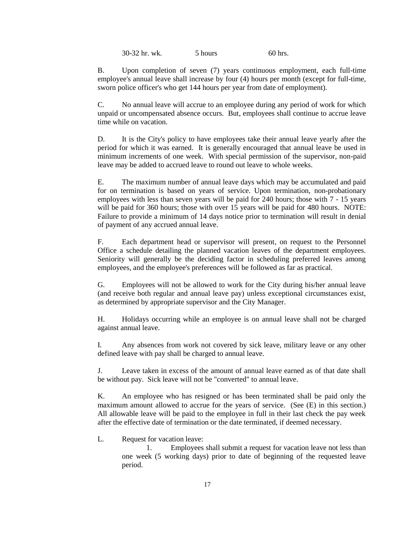30-32 hr. wk. 5 hours 60 hrs.

B. Upon completion of seven (7) years continuous employment, each full-time employee's annual leave shall increase by four (4) hours per month (except for full-time, sworn police officer's who get 144 hours per year from date of employment).

C. No annual leave will accrue to an employee during any period of work for which unpaid or uncompensated absence occurs. But, employees shall continue to accrue leave time while on vacation.

D. It is the City's policy to have employees take their annual leave yearly after the period for which it was earned. It is generally encouraged that annual leave be used in minimum increments of one week. With special permission of the supervisor, non-paid leave may be added to accrued leave to round out leave to whole weeks.

E. The maximum number of annual leave days which may be accumulated and paid for on termination is based on years of service. Upon termination, non-probationary employees with less than seven years will be paid for 240 hours; those with 7 - 15 years will be paid for 360 hours; those with over 15 years will be paid for 480 hours. NOTE: Failure to provide a minimum of 14 days notice prior to termination will result in denial of payment of any accrued annual leave.

F. Each department head or supervisor will present, on request to the Personnel Office a schedule detailing the planned vacation leaves of the department employees. Seniority will generally be the deciding factor in scheduling preferred leaves among employees, and the employee's preferences will be followed as far as practical.

G. Employees will not be allowed to work for the City during his/her annual leave (and receive both regular and annual leave pay) unless exceptional circumstances exist, as determined by appropriate supervisor and the City Manager.

H. Holidays occurring while an employee is on annual leave shall not be charged against annual leave.

I. Any absences from work not covered by sick leave, military leave or any other defined leave with pay shall be charged to annual leave.

J. Leave taken in excess of the amount of annual leave earned as of that date shall be without pay. Sick leave will not be "converted" to annual leave.

K. An employee who has resigned or has been terminated shall be paid only the maximum amount allowed to accrue for the years of service. (See (E) in this section.) All allowable leave will be paid to the employee in full in their last check the pay week after the effective date of termination or the date terminated, if deemed necessary.

L. Request for vacation leave:

1. Employees shall submit a request for vacation leave not less than one week (5 working days) prior to date of beginning of the requested leave period.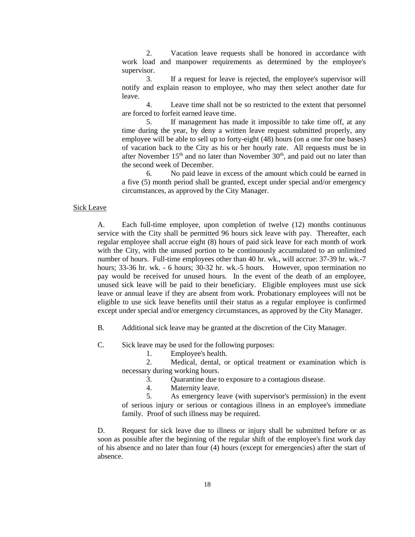2. Vacation leave requests shall be honored in accordance with work load and manpower requirements as determined by the employee's supervisor.

3. If a request for leave is rejected, the employee's supervisor will notify and explain reason to employee, who may then select another date for leave.

4. Leave time shall not be so restricted to the extent that personnel are forced to forfeit earned leave time.

5. If management has made it impossible to take time off, at any time during the year, by deny a written leave request submitted properly, any employee will be able to sell up to forty-eight (48) hours (on a one for one bases) of vacation back to the City as his or her hourly rate. All requests must be in after November  $15<sup>th</sup>$  and no later than November  $30<sup>th</sup>$ , and paid out no later than the second week of December.

6. No paid leave in excess of the amount which could be earned in a five (5) month period shall be granted, except under special and/or emergency circumstances, as approved by the City Manager.

#### Sick Leave

A. Each full-time employee, upon completion of twelve (12) months continuous service with the City shall be permitted 96 hours sick leave with pay. Thereafter, each regular employee shall accrue eight (8) hours of paid sick leave for each month of work with the City, with the unused portion to be continuously accumulated to an unlimited number of hours. Full-time employees other than 40 hr. wk., will accrue: 37-39 hr. wk.-7 hours; 33-36 hr. wk. - 6 hours; 30-32 hr. wk.-5 hours. However, upon termination no pay would be received for unused hours. In the event of the death of an employee, unused sick leave will be paid to their beneficiary. Eligible employees must use sick leave or annual leave if they are absent from work. Probationary employees will not be eligible to use sick leave benefits until their status as a regular employee is confirmed except under special and/or emergency circumstances, as approved by the City Manager.

B. Additional sick leave may be granted at the discretion of the City Manager.

- C. Sick leave may be used for the following purposes:
	- 1. Employee's health.
	- 2. Medical, dental, or optical treatment or examination which is necessary during working hours.
		- 3. Quarantine due to exposure to a contagious disease.
		- 4. Maternity leave.

5. As emergency leave (with supervisor's permission) in the event of serious injury or serious or contagious illness in an employee's immediate family. Proof of such illness may be required.

D. Request for sick leave due to illness or injury shall be submitted before or as soon as possible after the beginning of the regular shift of the employee's first work day of his absence and no later than four (4) hours (except for emergencies) after the start of absence.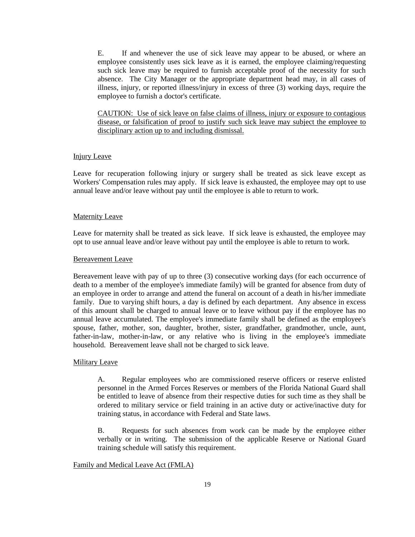E. If and whenever the use of sick leave may appear to be abused, or where an employee consistently uses sick leave as it is earned, the employee claiming/requesting such sick leave may be required to furnish acceptable proof of the necessity for such absence. The City Manager or the appropriate department head may, in all cases of illness, injury, or reported illness/injury in excess of three (3) working days, require the employee to furnish a doctor's certificate.

CAUTION: Use of sick leave on false claims of illness, injury or exposure to contagious disease, or falsification of proof to justify such sick leave may subject the employee to disciplinary action up to and including dismissal.

#### Injury Leave

Leave for recuperation following injury or surgery shall be treated as sick leave except as Workers' Compensation rules may apply. If sick leave is exhausted, the employee may opt to use annual leave and/or leave without pay until the employee is able to return to work.

#### **Maternity Leave**

Leave for maternity shall be treated as sick leave. If sick leave is exhausted, the employee may opt to use annual leave and/or leave without pay until the employee is able to return to work.

#### Bereavement Leave

Bereavement leave with pay of up to three (3) consecutive working days (for each occurrence of death to a member of the employee's immediate family) will be granted for absence from duty of an employee in order to arrange and attend the funeral on account of a death in his/her immediate family. Due to varying shift hours, a day is defined by each department. Any absence in excess of this amount shall be charged to annual leave or to leave without pay if the employee has no annual leave accumulated. The employee's immediate family shall be defined as the employee's spouse, father, mother, son, daughter, brother, sister, grandfather, grandmother, uncle, aunt, father-in-law, mother-in-law, or any relative who is living in the employee's immediate household. Bereavement leave shall not be charged to sick leave.

### Military Leave

A. Regular employees who are commissioned reserve officers or reserve enlisted personnel in the Armed Forces Reserves or members of the Florida National Guard shall be entitled to leave of absence from their respective duties for such time as they shall be ordered to military service or field training in an active duty or active/inactive duty for training status, in accordance with Federal and State laws.

B. Requests for such absences from work can be made by the employee either verbally or in writing. The submission of the applicable Reserve or National Guard training schedule will satisfy this requirement.

#### Family and Medical Leave Act (FMLA)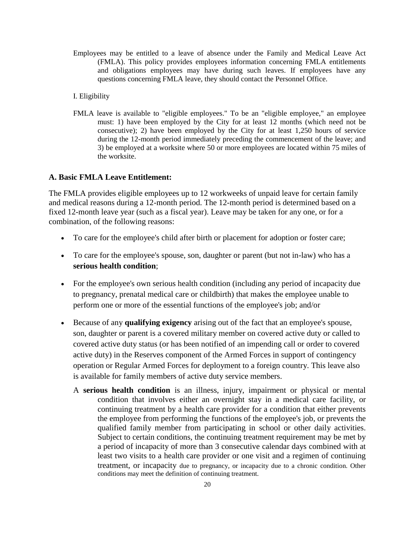- Employees may be entitled to a leave of absence under the Family and Medical Leave Act (FMLA). This policy provides employees information concerning FMLA entitlements and obligations employees may have during such leaves. If employees have any questions concerning FMLA leave, they should contact the Personnel Office.
- I. Eligibility
- FMLA leave is available to "eligible employees." To be an "eligible employee," an employee must: 1) have been employed by the City for at least 12 months (which need not be consecutive); 2) have been employed by the City for at least 1,250 hours of service during the 12-month period immediately preceding the commencement of the leave; and 3) be employed at a worksite where 50 or more employees are located within 75 miles of the worksite.

### **A. Basic FMLA Leave Entitlement:**

The FMLA provides eligible employees up to 12 workweeks of unpaid leave for certain family and medical reasons during a 12-month period. The 12-month period is determined based on a fixed 12-month leave year (such as a fiscal year). Leave may be taken for any one, or for a combination, of the following reasons:

- To care for the employee's child after birth or placement for adoption or foster care;
- To care for the employee's spouse, son, daughter or parent (but not in-law) who has a **serious health condition**;
- For the employee's own serious health condition (including any period of incapacity due to pregnancy, prenatal medical care or childbirth) that makes the employee unable to perform one or more of the essential functions of the employee's job; and/or
- Because of any **qualifying exigency** arising out of the fact that an employee's spouse, son, daughter or parent is a covered military member on covered active duty or called to covered active duty status (or has been notified of an impending call or order to covered active duty) in the Reserves component of the Armed Forces in support of contingency operation or Regular Armed Forces for deployment to a foreign country. This leave also is available for family members of active duty service members.
	- A **serious health condition** is an illness, injury, impairment or physical or mental condition that involves either an overnight stay in a medical care facility, or continuing treatment by a health care provider for a condition that either prevents the employee from performing the functions of the employee's job, or prevents the qualified family member from participating in school or other daily activities. Subject to certain conditions, the continuing treatment requirement may be met by a period of incapacity of more than 3 consecutive calendar days combined with at least two visits to a health care provider or one visit and a regimen of continuing treatment, or incapacity due to pregnancy, or incapacity due to a chronic condition. Other conditions may meet the definition of continuing treatment.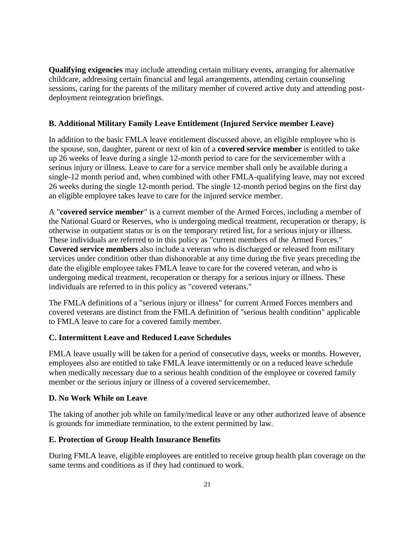**Qualifying exigencies** may include attending certain military events, arranging for alternative childcare, addressing certain financial and legal arrangements, attending certain counseling sessions, caring for the parents of the military member of covered active duty and attending postdeployment reintegration briefings.

## **B. Additional Military Family Leave Entitlement (Injured Service member Leave)**

In addition to the basic FMLA leave entitlement discussed above, an eligible employee who is the spouse, son, daughter, parent or next of kin of a **covered service member** is entitled to take up 26 weeks of leave during a single 12-month period to care for the servicemember with a serious injury or illness. Leave to care for a service member shall only be available during a single-12 month period and, when combined with other FMLA-qualifying leave, may not exceed 26 weeks during the single 12-month period. The single 12-month period begins on the first day an eligible employee takes leave to care for the injured service member.

A "**covered service member**" is a current member of the Armed Forces, including a member of the National Guard or Reserves, who is undergoing medical treatment, recuperation or therapy, is otherwise in outpatient status or is on the temporary retired list, for a serious injury or illness. These individuals are referred to in this policy as "current members of the Armed Forces." **Covered service members** also include a veteran who is discharged or released from military services under condition other than dishonorable at any time during the five years preceding the date the eligible employee takes FMLA leave to care for the covered veteran, and who is undergoing medical treatment, recuperation or therapy for a serious injury or illness. These individuals are referred to in this policy as "covered veterans."

The FMLA definitions of a "serious injury or illness" for current Armed Forces members and covered veterans are distinct from the FMLA definition of "serious health condition" applicable to FMLA leave to care for a covered family member.

## **C. Intermittent Leave and Reduced Leave Schedules**

FMLA leave usually will be taken for a period of consecutive days, weeks or months. However, employees also are entitled to take FMLA leave intermittently or on a reduced leave schedule when medically necessary due to a serious health condition of the employee or covered family member or the serious injury or illness of a covered servicemember.

## **D. No Work While on Leave**

The taking of another job while on family/medical leave or any other authorized leave of absence is grounds for immediate termination, to the extent permitted by law.

## **E. Protection of Group Health Insurance Benefits**

During FMLA leave, eligible employees are entitled to receive group health plan coverage on the same terms and conditions as if they had continued to work.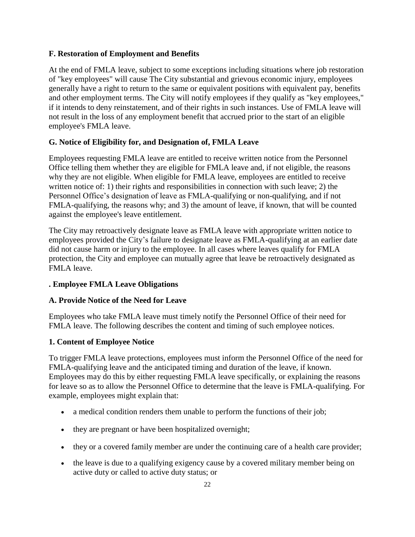## **F. Restoration of Employment and Benefits**

At the end of FMLA leave, subject to some exceptions including situations where job restoration of "key employees" will cause The City substantial and grievous economic injury, employees generally have a right to return to the same or equivalent positions with equivalent pay, benefits and other employment terms. The City will notify employees if they qualify as "key employees," if it intends to deny reinstatement, and of their rights in such instances. Use of FMLA leave will not result in the loss of any employment benefit that accrued prior to the start of an eligible employee's FMLA leave.

## **G. Notice of Eligibility for, and Designation of, FMLA Leave**

Employees requesting FMLA leave are entitled to receive written notice from the Personnel Office telling them whether they are eligible for FMLA leave and, if not eligible, the reasons why they are not eligible. When eligible for FMLA leave, employees are entitled to receive written notice of: 1) their rights and responsibilities in connection with such leave; 2) the Personnel Office's designation of leave as FMLA-qualifying or non-qualifying, and if not FMLA-qualifying, the reasons why; and 3) the amount of leave, if known, that will be counted against the employee's leave entitlement.

The City may retroactively designate leave as FMLA leave with appropriate written notice to employees provided the City's failure to designate leave as FMLA-qualifying at an earlier date did not cause harm or injury to the employee. In all cases where leaves qualify for FMLA protection, the City and employee can mutually agree that leave be retroactively designated as FMLA leave.

## **. Employee FMLA Leave Obligations**

## **A. Provide Notice of the Need for Leave**

Employees who take FMLA leave must timely notify the Personnel Office of their need for FMLA leave. The following describes the content and timing of such employee notices.

## **1. Content of Employee Notice**

To trigger FMLA leave protections, employees must inform the Personnel Office of the need for FMLA-qualifying leave and the anticipated timing and duration of the leave, if known. Employees may do this by either requesting FMLA leave specifically, or explaining the reasons for leave so as to allow the Personnel Office to determine that the leave is FMLA-qualifying. For example, employees might explain that:

- a medical condition renders them unable to perform the functions of their job;
- they are pregnant or have been hospitalized overnight;
- they or a covered family member are under the continuing care of a health care provider;
- the leave is due to a qualifying exigency cause by a covered military member being on active duty or called to active duty status; or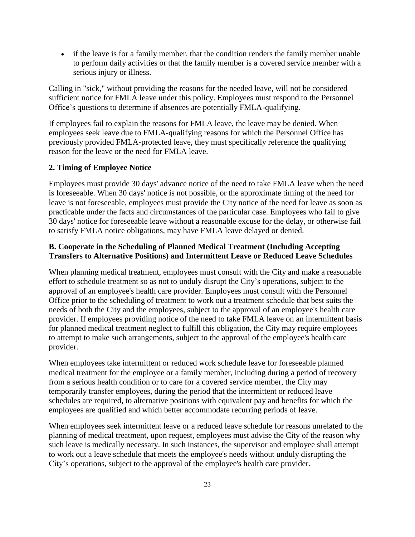• if the leave is for a family member, that the condition renders the family member unable to perform daily activities or that the family member is a covered service member with a serious injury or illness.

Calling in "sick," without providing the reasons for the needed leave, will not be considered sufficient notice for FMLA leave under this policy. Employees must respond to the Personnel Office's questions to determine if absences are potentially FMLA-qualifying.

If employees fail to explain the reasons for FMLA leave, the leave may be denied. When employees seek leave due to FMLA-qualifying reasons for which the Personnel Office has previously provided FMLA-protected leave, they must specifically reference the qualifying reason for the leave or the need for FMLA leave.

### **2. Timing of Employee Notice**

Employees must provide 30 days' advance notice of the need to take FMLA leave when the need is foreseeable. When 30 days' notice is not possible, or the approximate timing of the need for leave is not foreseeable, employees must provide the City notice of the need for leave as soon as practicable under the facts and circumstances of the particular case. Employees who fail to give 30 days' notice for foreseeable leave without a reasonable excuse for the delay, or otherwise fail to satisfy FMLA notice obligations, may have FMLA leave delayed or denied.

## **B. Cooperate in the Scheduling of Planned Medical Treatment (Including Accepting Transfers to Alternative Positions) and Intermittent Leave or Reduced Leave Schedules**

When planning medical treatment, employees must consult with the City and make a reasonable effort to schedule treatment so as not to unduly disrupt the City's operations, subject to the approval of an employee's health care provider. Employees must consult with the Personnel Office prior to the scheduling of treatment to work out a treatment schedule that best suits the needs of both the City and the employees, subject to the approval of an employee's health care provider. If employees providing notice of the need to take FMLA leave on an intermittent basis for planned medical treatment neglect to fulfill this obligation, the City may require employees to attempt to make such arrangements, subject to the approval of the employee's health care provider.

When employees take intermittent or reduced work schedule leave for foreseeable planned medical treatment for the employee or a family member, including during a period of recovery from a serious health condition or to care for a covered service member, the City may temporarily transfer employees, during the period that the intermittent or reduced leave schedules are required, to alternative positions with equivalent pay and benefits for which the employees are qualified and which better accommodate recurring periods of leave.

When employees seek intermittent leave or a reduced leave schedule for reasons unrelated to the planning of medical treatment, upon request, employees must advise the City of the reason why such leave is medically necessary. In such instances, the supervisor and employee shall attempt to work out a leave schedule that meets the employee's needs without unduly disrupting the City's operations, subject to the approval of the employee's health care provider.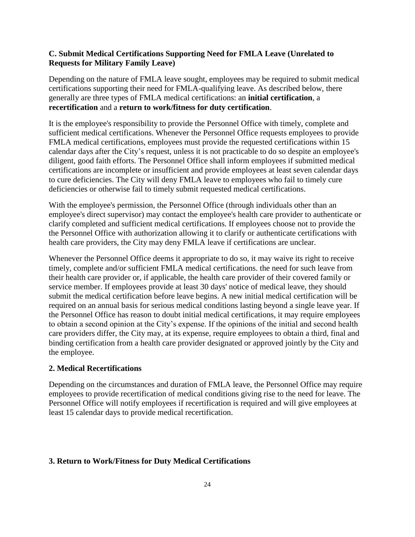## **C. Submit Medical Certifications Supporting Need for FMLA Leave (Unrelated to Requests for Military Family Leave)**

Depending on the nature of FMLA leave sought, employees may be required to submit medical certifications supporting their need for FMLA-qualifying leave. As described below, there generally are three types of FMLA medical certifications: an **initial certification**, a **recertification** and a **return to work/fitness for duty certification**.

It is the employee's responsibility to provide the Personnel Office with timely, complete and sufficient medical certifications. Whenever the Personnel Office requests employees to provide FMLA medical certifications, employees must provide the requested certifications within 15 calendar days after the City's request, unless it is not practicable to do so despite an employee's diligent, good faith efforts. The Personnel Office shall inform employees if submitted medical certifications are incomplete or insufficient and provide employees at least seven calendar days to cure deficiencies. The City will deny FMLA leave to employees who fail to timely cure deficiencies or otherwise fail to timely submit requested medical certifications.

With the employee's permission, the Personnel Office (through individuals other than an employee's direct supervisor) may contact the employee's health care provider to authenticate or clarify completed and sufficient medical certifications. If employees choose not to provide the the Personnel Office with authorization allowing it to clarify or authenticate certifications with health care providers, the City may deny FMLA leave if certifications are unclear.

Whenever the Personnel Office deems it appropriate to do so, it may waive its right to receive timely, complete and/or sufficient FMLA medical certifications. the need for such leave from their health care provider or, if applicable, the health care provider of their covered family or service member. If employees provide at least 30 days' notice of medical leave, they should submit the medical certification before leave begins. A new initial medical certification will be required on an annual basis for serious medical conditions lasting beyond a single leave year. If the Personnel Office has reason to doubt initial medical certifications, it may require employees to obtain a second opinion at the City's expense. If the opinions of the initial and second health care providers differ, the City may, at its expense, require employees to obtain a third, final and binding certification from a health care provider designated or approved jointly by the City and the employee.

## **2. Medical Recertifications**

Depending on the circumstances and duration of FMLA leave, the Personnel Office may require employees to provide recertification of medical conditions giving rise to the need for leave. The Personnel Office will notify employees if recertification is required and will give employees at least 15 calendar days to provide medical recertification.

## **3. Return to Work/Fitness for Duty Medical Certifications**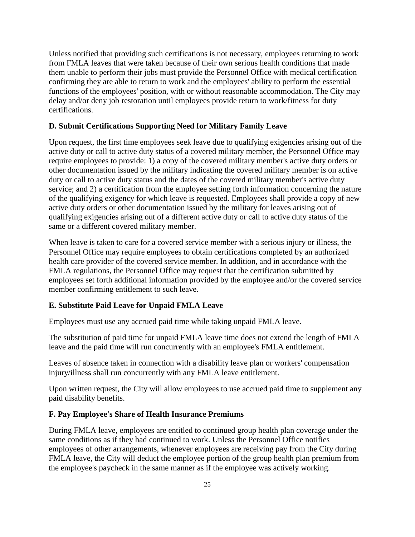Unless notified that providing such certifications is not necessary, employees returning to work from FMLA leaves that were taken because of their own serious health conditions that made them unable to perform their jobs must provide the Personnel Office with medical certification confirming they are able to return to work and the employees' ability to perform the essential functions of the employees' position, with or without reasonable accommodation. The City may delay and/or deny job restoration until employees provide return to work/fitness for duty certifications.

### **D. Submit Certifications Supporting Need for Military Family Leave**

Upon request, the first time employees seek leave due to qualifying exigencies arising out of the active duty or call to active duty status of a covered military member, the Personnel Office may require employees to provide: 1) a copy of the covered military member's active duty orders or other documentation issued by the military indicating the covered military member is on active duty or call to active duty status and the dates of the covered military member's active duty service; and 2) a certification from the employee setting forth information concerning the nature of the qualifying exigency for which leave is requested. Employees shall provide a copy of new active duty orders or other documentation issued by the military for leaves arising out of qualifying exigencies arising out of a different active duty or call to active duty status of the same or a different covered military member.

When leave is taken to care for a covered service member with a serious injury or illness, the Personnel Office may require employees to obtain certifications completed by an authorized health care provider of the covered service member. In addition, and in accordance with the FMLA regulations, the Personnel Office may request that the certification submitted by employees set forth additional information provided by the employee and/or the covered service member confirming entitlement to such leave.

## **E. Substitute Paid Leave for Unpaid FMLA Leave**

Employees must use any accrued paid time while taking unpaid FMLA leave.

The substitution of paid time for unpaid FMLA leave time does not extend the length of FMLA leave and the paid time will run concurrently with an employee's FMLA entitlement.

Leaves of absence taken in connection with a disability leave plan or workers' compensation injury/illness shall run concurrently with any FMLA leave entitlement.

Upon written request, the City will allow employees to use accrued paid time to supplement any paid disability benefits.

## **F. Pay Employee's Share of Health Insurance Premiums**

During FMLA leave, employees are entitled to continued group health plan coverage under the same conditions as if they had continued to work. Unless the Personnel Office notifies employees of other arrangements, whenever employees are receiving pay from the City during FMLA leave, the City will deduct the employee portion of the group health plan premium from the employee's paycheck in the same manner as if the employee was actively working.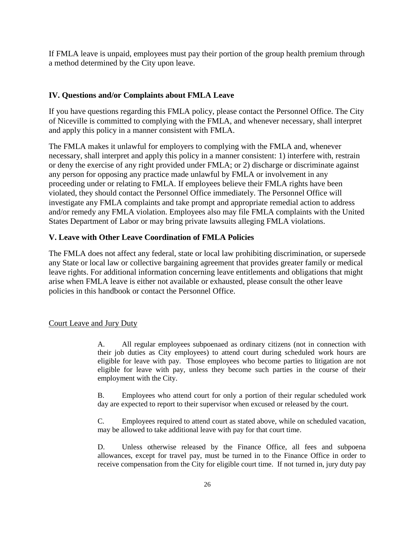If FMLA leave is unpaid, employees must pay their portion of the group health premium through a method determined by the City upon leave.

### **IV. Questions and/or Complaints about FMLA Leave**

If you have questions regarding this FMLA policy, please contact the Personnel Office. The City of Niceville is committed to complying with the FMLA, and whenever necessary, shall interpret and apply this policy in a manner consistent with FMLA.

The FMLA makes it unlawful for employers to complying with the FMLA and, whenever necessary, shall interpret and apply this policy in a manner consistent: 1) interfere with, restrain or deny the exercise of any right provided under FMLA; or 2) discharge or discriminate against any person for opposing any practice made unlawful by FMLA or involvement in any proceeding under or relating to FMLA. If employees believe their FMLA rights have been violated, they should contact the Personnel Office immediately. The Personnel Office will investigate any FMLA complaints and take prompt and appropriate remedial action to address and/or remedy any FMLA violation. Employees also may file FMLA complaints with the United States Department of Labor or may bring private lawsuits alleging FMLA violations.

### **V. Leave with Other Leave Coordination of FMLA Policies**

The FMLA does not affect any federal, state or local law prohibiting discrimination, or supersede any State or local law or collective bargaining agreement that provides greater family or medical leave rights. For additional information concerning leave entitlements and obligations that might arise when FMLA leave is either not available or exhausted, please consult the other leave policies in this handbook or contact the Personnel Office.

### Court Leave and Jury Duty

A. All regular employees subpoenaed as ordinary citizens (not in connection with their job duties as City employees) to attend court during scheduled work hours are eligible for leave with pay. Those employees who become parties to litigation are not eligible for leave with pay, unless they become such parties in the course of their employment with the City.

B. Employees who attend court for only a portion of their regular scheduled work day are expected to report to their supervisor when excused or released by the court.

C. Employees required to attend court as stated above, while on scheduled vacation, may be allowed to take additional leave with pay for that court time.

D. Unless otherwise released by the Finance Office, all fees and subpoena allowances, except for travel pay, must be turned in to the Finance Office in order to receive compensation from the City for eligible court time. If not turned in, jury duty pay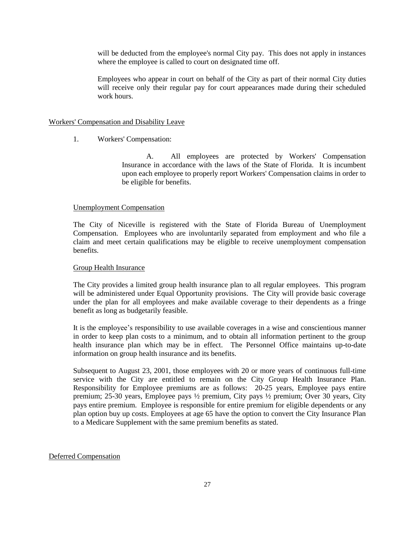will be deducted from the employee's normal City pay. This does not apply in instances where the employee is called to court on designated time off.

Employees who appear in court on behalf of the City as part of their normal City duties will receive only their regular pay for court appearances made during their scheduled work hours.

#### Workers' Compensation and Disability Leave

1. Workers' Compensation:

A. All employees are protected by Workers' Compensation Insurance in accordance with the laws of the State of Florida. It is incumbent upon each employee to properly report Workers' Compensation claims in order to be eligible for benefits.

#### Unemployment Compensation

The City of Niceville is registered with the State of Florida Bureau of Unemployment Compensation. Employees who are involuntarily separated from employment and who file a claim and meet certain qualifications may be eligible to receive unemployment compensation benefits.

#### Group Health Insurance

The City provides a limited group health insurance plan to all regular employees. This program will be administered under Equal Opportunity provisions. The City will provide basic coverage under the plan for all employees and make available coverage to their dependents as a fringe benefit as long as budgetarily feasible.

It is the employee's responsibility to use available coverages in a wise and conscientious manner in order to keep plan costs to a minimum, and to obtain all information pertinent to the group health insurance plan which may be in effect. The Personnel Office maintains up-to-date information on group health insurance and its benefits.

Subsequent to August 23, 2001, those employees with 20 or more years of continuous full-time service with the City are entitled to remain on the City Group Health Insurance Plan. Responsibility for Employee premiums are as follows: 20-25 years, Employee pays entire premium; 25-30 years, Employee pays ½ premium, City pays ½ premium; Over 30 years, City pays entire premium. Employee is responsible for entire premium for eligible dependents or any plan option buy up costs. Employees at age 65 have the option to convert the City Insurance Plan to a Medicare Supplement with the same premium benefits as stated.

#### Deferred Compensation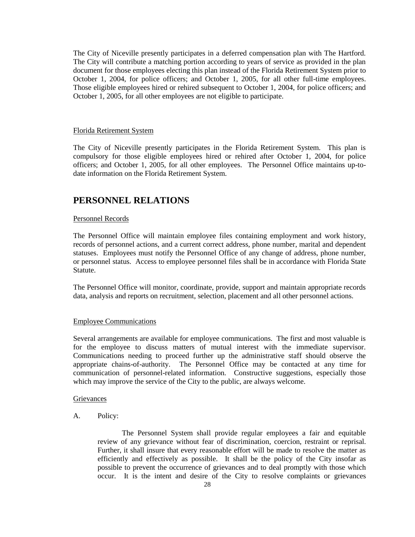The City of Niceville presently participates in a deferred compensation plan with The Hartford. The City will contribute a matching portion according to years of service as provided in the plan document for those employees electing this plan instead of the Florida Retirement System prior to October 1, 2004, for police officers; and October 1, 2005, for all other full-time employees. Those eligible employees hired or rehired subsequent to October 1, 2004, for police officers; and October 1, 2005, for all other employees are not eligible to participate.

#### Florida Retirement System

The City of Niceville presently participates in the Florida Retirement System. This plan is compulsory for those eligible employees hired or rehired after October 1, 2004, for police officers; and October 1, 2005, for all other employees. The Personnel Office maintains up-todate information on the Florida Retirement System.

### **PERSONNEL RELATIONS**

#### Personnel Records

The Personnel Office will maintain employee files containing employment and work history, records of personnel actions, and a current correct address, phone number, marital and dependent statuses. Employees must notify the Personnel Office of any change of address, phone number, or personnel status. Access to employee personnel files shall be in accordance with Florida State Statute.

The Personnel Office will monitor, coordinate, provide, support and maintain appropriate records data, analysis and reports on recruitment, selection, placement and all other personnel actions.

### Employee Communications

Several arrangements are available for employee communications. The first and most valuable is for the employee to discuss matters of mutual interest with the immediate supervisor. Communications needing to proceed further up the administrative staff should observe the appropriate chains-of-authority. The Personnel Office may be contacted at any time for communication of personnel-related information. Constructive suggestions, especially those which may improve the service of the City to the public, are always welcome.

### **Grievances**

A. Policy:

The Personnel System shall provide regular employees a fair and equitable review of any grievance without fear of discrimination, coercion, restraint or reprisal. Further, it shall insure that every reasonable effort will be made to resolve the matter as efficiently and effectively as possible. It shall be the policy of the City insofar as possible to prevent the occurrence of grievances and to deal promptly with those which occur. It is the intent and desire of the City to resolve complaints or grievances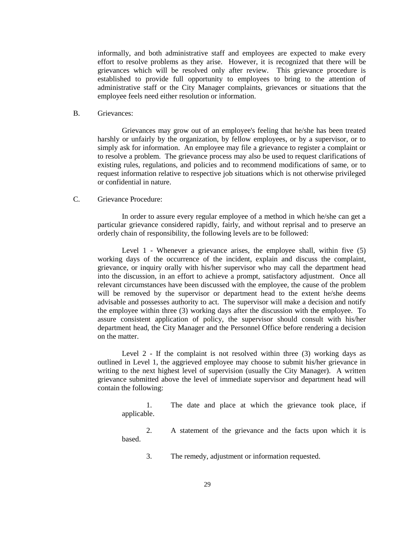informally, and both administrative staff and employees are expected to make every effort to resolve problems as they arise. However, it is recognized that there will be grievances which will be resolved only after review. This grievance procedure is established to provide full opportunity to employees to bring to the attention of administrative staff or the City Manager complaints, grievances or situations that the employee feels need either resolution or information.

B. Grievances:

Grievances may grow out of an employee's feeling that he/she has been treated harshly or unfairly by the organization, by fellow employees, or by a supervisor, or to simply ask for information. An employee may file a grievance to register a complaint or to resolve a problem. The grievance process may also be used to request clarifications of existing rules, regulations, and policies and to recommend modifications of same, or to request information relative to respective job situations which is not otherwise privileged or confidential in nature.

### C. Grievance Procedure:

In order to assure every regular employee of a method in which he/she can get a particular grievance considered rapidly, fairly, and without reprisal and to preserve an orderly chain of responsibility, the following levels are to be followed:

Level 1 - Whenever a grievance arises, the employee shall, within five (5) working days of the occurrence of the incident, explain and discuss the complaint, grievance, or inquiry orally with his/her supervisor who may call the department head into the discussion, in an effort to achieve a prompt, satisfactory adjustment. Once all relevant circumstances have been discussed with the employee, the cause of the problem will be removed by the supervisor or department head to the extent he/she deems advisable and possesses authority to act. The supervisor will make a decision and notify the employee within three (3) working days after the discussion with the employee. To assure consistent application of policy, the supervisor should consult with his/her department head, the City Manager and the Personnel Office before rendering a decision on the matter.

Level 2 - If the complaint is not resolved within three (3) working days as outlined in Level 1, the aggrieved employee may choose to submit his/her grievance in writing to the next highest level of supervision (usually the City Manager). A written grievance submitted above the level of immediate supervisor and department head will contain the following:

1. The date and place at which the grievance took place, if applicable.

2. A statement of the grievance and the facts upon which it is based.

3. The remedy, adjustment or information requested.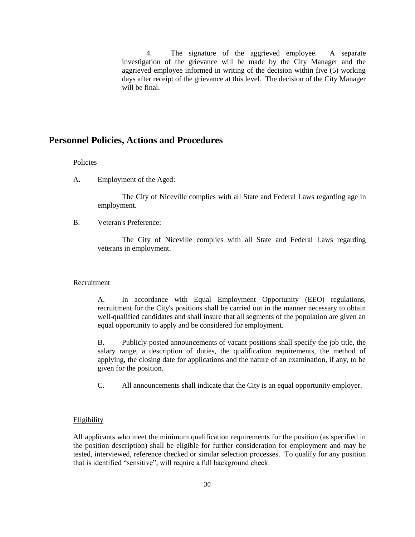4. The signature of the aggrieved employee. A separate investigation of the grievance will be made by the City Manager and the aggrieved employee informed in writing of the decision within five (5) working days after receipt of the grievance at this level. The decision of the City Manager will be final.

### **Personnel Policies, Actions and Procedures**

### Policies

A. Employment of the Aged:

The City of Niceville complies with all State and Federal Laws regarding age in employment.

B. Veteran's Preference:

The City of Niceville complies with all State and Federal Laws regarding veterans in employment.

#### Recruitment

A. In accordance with Equal Employment Opportunity (EEO) regulations, recruitment for the City's positions shall be carried out in the manner necessary to obtain well-qualified candidates and shall insure that all segments of the population are given an equal opportunity to apply and be considered for employment.

B. Publicly posted announcements of vacant positions shall specify the job title, the salary range, a description of duties, the qualification requirements, the method of applying, the closing date for applications and the nature of an examination, if any, to be given for the position.

C. All announcements shall indicate that the City is an equal opportunity employer.

#### Eligibility

All applicants who meet the minimum qualification requirements for the position (as specified in the position description) shall be eligible for further consideration for employment and may be tested, interviewed, reference checked or similar selection processes. To qualify for any position that is identified "sensitive", will require a full background check.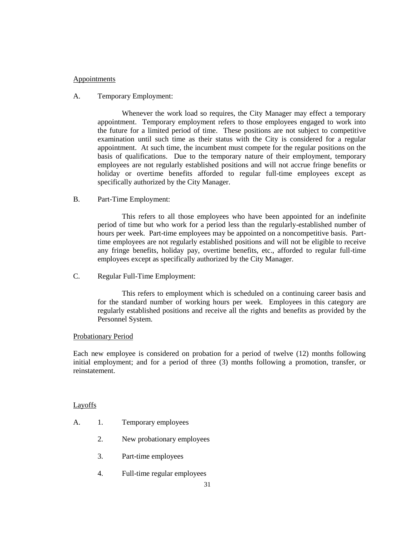### Appointments

### A. Temporary Employment:

Whenever the work load so requires, the City Manager may effect a temporary appointment. Temporary employment refers to those employees engaged to work into the future for a limited period of time. These positions are not subject to competitive examination until such time as their status with the City is considered for a regular appointment. At such time, the incumbent must compete for the regular positions on the basis of qualifications. Due to the temporary nature of their employment, temporary employees are not regularly established positions and will not accrue fringe benefits or holiday or overtime benefits afforded to regular full-time employees except as specifically authorized by the City Manager.

### B. Part-Time Employment:

This refers to all those employees who have been appointed for an indefinite period of time but who work for a period less than the regularly-established number of hours per week. Part-time employees may be appointed on a noncompetitive basis. Parttime employees are not regularly established positions and will not be eligible to receive any fringe benefits, holiday pay, overtime benefits, etc., afforded to regular full-time employees except as specifically authorized by the City Manager.

C. Regular Full-Time Employment:

This refers to employment which is scheduled on a continuing career basis and for the standard number of working hours per week. Employees in this category are regularly established positions and receive all the rights and benefits as provided by the Personnel System.

### Probationary Period

Each new employee is considered on probation for a period of twelve (12) months following initial employment; and for a period of three (3) months following a promotion, transfer, or reinstatement.

### **Layoffs**

- A. 1. Temporary employees
	- 2. New probationary employees
	- 3. Part-time employees
	- 4. Full-time regular employees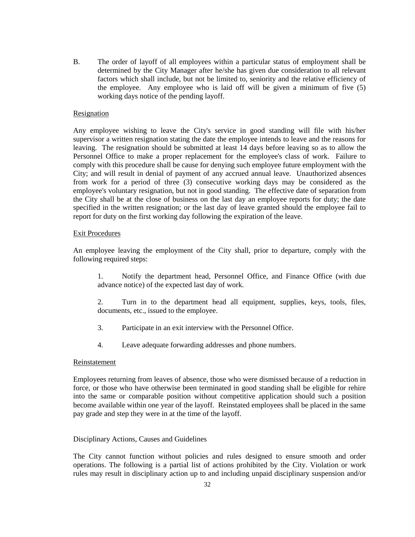B. The order of layoff of all employees within a particular status of employment shall be determined by the City Manager after he/she has given due consideration to all relevant factors which shall include, but not be limited to, seniority and the relative efficiency of the employee. Any employee who is laid off will be given a minimum of five (5) working days notice of the pending layoff.

### Resignation

Any employee wishing to leave the City's service in good standing will file with his/her supervisor a written resignation stating the date the employee intends to leave and the reasons for leaving. The resignation should be submitted at least 14 days before leaving so as to allow the Personnel Office to make a proper replacement for the employee's class of work. Failure to comply with this procedure shall be cause for denying such employee future employment with the City; and will result in denial of payment of any accrued annual leave. Unauthorized absences from work for a period of three (3) consecutive working days may be considered as the employee's voluntary resignation, but not in good standing. The effective date of separation from the City shall be at the close of business on the last day an employee reports for duty; the date specified in the written resignation; or the last day of leave granted should the employee fail to report for duty on the first working day following the expiration of the leave.

### Exit Procedures

An employee leaving the employment of the City shall, prior to departure, comply with the following required steps:

1. Notify the department head, Personnel Office, and Finance Office (with due advance notice) of the expected last day of work.

2. Turn in to the department head all equipment, supplies, keys, tools, files, documents, etc., issued to the employee.

- 3. Participate in an exit interview with the Personnel Office.
- 4. Leave adequate forwarding addresses and phone numbers.

#### Reinstatement

Employees returning from leaves of absence, those who were dismissed because of a reduction in force, or those who have otherwise been terminated in good standing shall be eligible for rehire into the same or comparable position without competitive application should such a position become available within one year of the layoff. Reinstated employees shall be placed in the same pay grade and step they were in at the time of the layoff.

### Disciplinary Actions, Causes and Guidelines

The City cannot function without policies and rules designed to ensure smooth and order operations. The following is a partial list of actions prohibited by the City. Violation or work rules may result in disciplinary action up to and including unpaid disciplinary suspension and/or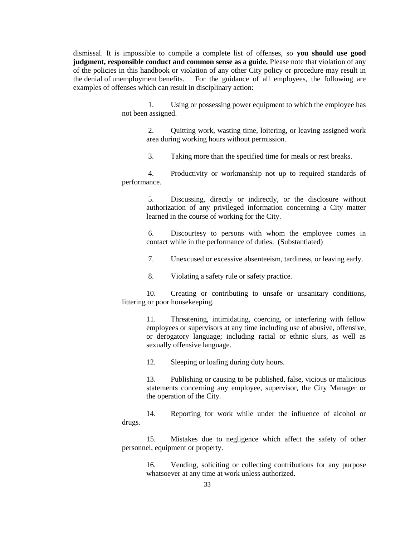dismissal. It is impossible to compile a complete list of offenses, so **you should use good judgment, responsible conduct and common sense as a guide.** Please note that violation of any of the policies in this handbook or violation of any other City policy or procedure may result in the denial of unemployment benefits. For the guidance of all employees, the following are examples of offenses which can result in disciplinary action:

> 1. Using or possessing power equipment to which the employee has not been assigned.

> > 2. Quitting work, wasting time, loitering, or leaving assigned work area during working hours without permission.

3. Taking more than the specified time for meals or rest breaks.

4. Productivity or workmanship not up to required standards of performance.

> 5. Discussing, directly or indirectly, or the disclosure without authorization of any privileged information concerning a City matter learned in the course of working for the City.

> 6. Discourtesy to persons with whom the employee comes in contact while in the performance of duties. (Substantiated)

7. Unexcused or excessive absenteeism, tardiness, or leaving early.

8. Violating a safety rule or safety practice.

10. Creating or contributing to unsafe or unsanitary conditions, littering or poor housekeeping.

> 11. Threatening, intimidating, coercing, or interfering with fellow employees or supervisors at any time including use of abusive, offensive, or derogatory language; including racial or ethnic slurs, as well as sexually offensive language.

12. Sleeping or loafing during duty hours.

13. Publishing or causing to be published, false, vicious or malicious statements concerning any employee, supervisor, the City Manager or the operation of the City.

14. Reporting for work while under the influence of alcohol or drugs.

15. Mistakes due to negligence which affect the safety of other personnel, equipment or property.

16. Vending, soliciting or collecting contributions for any purpose whatsoever at any time at work unless authorized.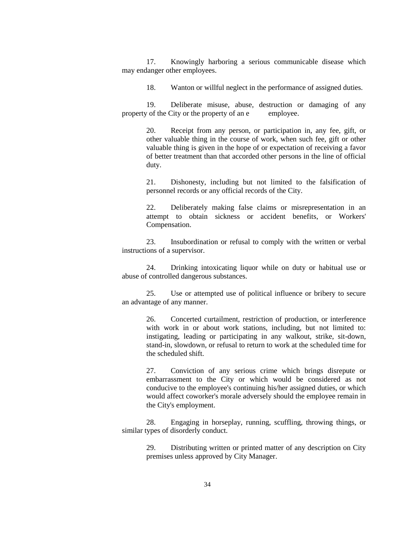17. Knowingly harboring a serious communicable disease which may endanger other employees.

18. Wanton or willful neglect in the performance of assigned duties.

19. Deliberate misuse, abuse, destruction or damaging of any property of the City or the property of an e employee.

> 20. Receipt from any person, or participation in, any fee, gift, or other valuable thing in the course of work, when such fee, gift or other valuable thing is given in the hope of or expectation of receiving a favor of better treatment than that accorded other persons in the line of official duty.

> 21. Dishonesty, including but not limited to the falsification of personnel records or any official records of the City.

> 22. Deliberately making false claims or misrepresentation in an attempt to obtain sickness or accident benefits, or Workers' Compensation.

23. Insubordination or refusal to comply with the written or verbal instructions of a supervisor.

24. Drinking intoxicating liquor while on duty or habitual use or abuse of controlled dangerous substances.

25. Use or attempted use of political influence or bribery to secure an advantage of any manner.

26. Concerted curtailment, restriction of production, or interference with work in or about work stations, including, but not limited to: instigating, leading or participating in any walkout, strike, sit-down, stand-in, slowdown, or refusal to return to work at the scheduled time for the scheduled shift.

27. Conviction of any serious crime which brings disrepute or embarrassment to the City or which would be considered as not conducive to the employee's continuing his/her assigned duties, or which would affect coworker's morale adversely should the employee remain in the City's employment.

28. Engaging in horseplay, running, scuffling, throwing things, or similar types of disorderly conduct.

29. Distributing written or printed matter of any description on City premises unless approved by City Manager.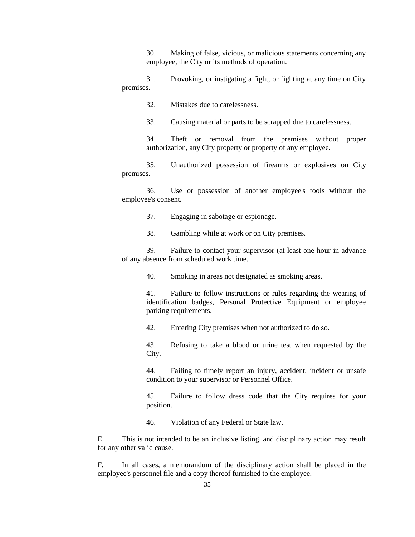30. Making of false, vicious, or malicious statements concerning any employee, the City or its methods of operation.

31. Provoking, or instigating a fight, or fighting at any time on City premises.

32. Mistakes due to carelessness.

33. Causing material or parts to be scrapped due to carelessness.

34. Theft or removal from the premises without proper authorization, any City property or property of any employee.

35. Unauthorized possession of firearms or explosives on City premises.

36. Use or possession of another employee's tools without the employee's consent.

37. Engaging in sabotage or espionage.

38. Gambling while at work or on City premises.

39. Failure to contact your supervisor (at least one hour in advance of any absence from scheduled work time.

40. Smoking in areas not designated as smoking areas.

41. Failure to follow instructions or rules regarding the wearing of identification badges, Personal Protective Equipment or employee parking requirements.

42. Entering City premises when not authorized to do so.

43. Refusing to take a blood or urine test when requested by the City.

44. Failing to timely report an injury, accident, incident or unsafe condition to your supervisor or Personnel Office.

45. Failure to follow dress code that the City requires for your position.

46. Violation of any Federal or State law.

E. This is not intended to be an inclusive listing, and disciplinary action may result for any other valid cause.

F. In all cases, a memorandum of the disciplinary action shall be placed in the employee's personnel file and a copy thereof furnished to the employee.